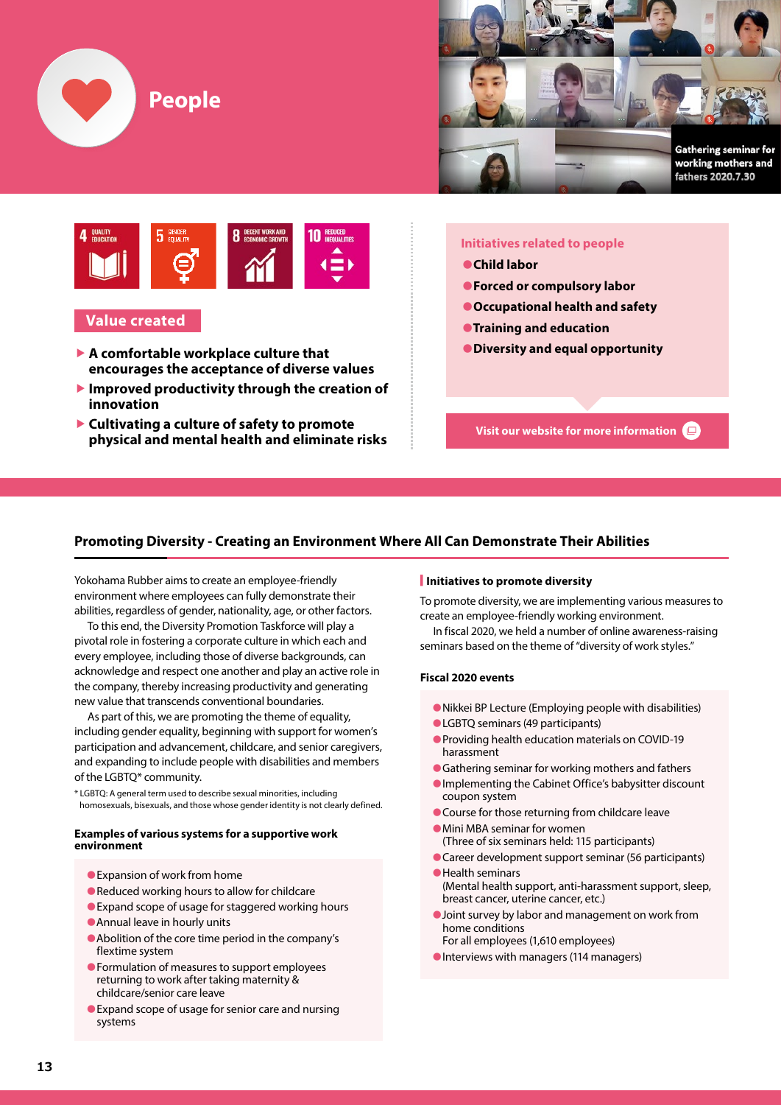





# **Value created**

- **▶ A comfortable workplace culture that encourages the acceptance of diverse values**
- **▶ Improved productivity through the creation of innovation**
- **▶ Cultivating a culture of safety to promote physical and mental health and eliminate risks**

# **Initiatives related to people**

- **●Child labor**
- **●Forced or compulsory labor**
- **●Occupational health and safety**
- **●Training and education**
- **●Diversity and equal opportunity**

**Visit our website for more information**

# **Promoting Diversity - Creating an Environment Where All Can Demonstrate Their Abilities**

Yokohama Rubber aims to create an employee-friendly environment where employees can fully demonstrate their abilities, regardless of gender, nationality, age, or other factors.

To this end, the Diversity Promotion Taskforce will play a pivotal role in fostering a corporate culture in which each and every employee, including those of diverse backgrounds, can acknowledge and respect one another and play an active role in the company, thereby increasing productivity and generating new value that transcends conventional boundaries.

As part of this, we are promoting the theme of equality, including gender equality, beginning with support for women's participation and advancement, childcare, and senior caregivers, and expanding to include people with disabilities and members of the LGBTQ\* community.

\* LGBTQ: A general term used to describe sexual minorities, including homosexuals, bisexuals, and those whose gender identity is not clearly defined.

#### **Examples of various systems for a supportive work environment**

- Expansion of work from home
- ●Reduced working hours to allow for childcare
- Expand scope of usage for staggered working hours
- ●Annual leave in hourly units
- ●Abolition of the core time period in the company's flextime system
- ●Formulation of measures to support employees returning to work after taking maternity & childcare/senior care leave
- Expand scope of usage for senior care and nursing systems

#### **■ Initiatives to promote diversity**

To promote diversity, we are implementing various measures to create an employee-friendly working environment.

In fiscal 2020, we held a number of online awareness-raising seminars based on the theme of "diversity of work styles."

### **Fiscal 2020 events**

- ●Nikkei BP Lecture (Employing people with disabilities)
- ●LGBTQ seminars (49 participants)
- ●Providing health education materials on COVID-19 harassment
- Gathering seminar for working mothers and fathers
- ●Implementing the Cabinet Office's babysitter discount coupon system
- Course for those returning from childcare leave
- ●Mini MBA seminar for women (Three of six seminars held: 115 participants)
- Career development support seminar (56 participants)
- ●Health seminars (Mental health support, anti-harassment support, sleep, breast cancer, uterine cancer, etc.)
- Joint survey by labor and management on work from home conditions
- For all employees (1,610 employees)
- ●Interviews with managers (114 managers)